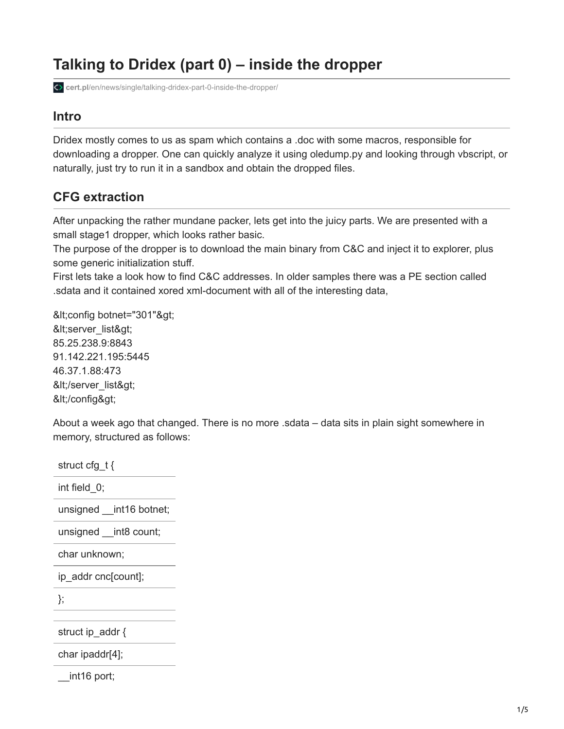# **Talking to Dridex (part 0) – inside the dropper**

**cert.pl**[/en/news/single/talking-dridex-part-0-inside-the-dropper/](https://www.cert.pl/en/news/single/talking-dridex-part-0-inside-the-dropper/)

## **Intro**

Dridex mostly comes to us as spam which contains a .doc with some macros, responsible for downloading a dropper. One can quickly analyze it using oledump.py and looking through vbscript, or naturally, just try to run it in a sandbox and obtain the dropped files.

# **CFG extraction**

After unpacking the rather mundane packer, lets get into the juicy parts. We are presented with a small stage1 dropper, which looks rather basic.

The purpose of the dropper is to download the main binary from C&C and inject it to explorer, plus some generic initialization stuff.

First lets take a look how to find C&C addresses. In older samples there was a PE section called .sdata and it contained xored xml-document with all of the interesting data,

&lt:config botnet="301"&qt: <server\_list&gt; 85.25.238.9:8843 91.142.221.195:5445 46.37.1.88:473 </server\_list&gt; </config&gt;

About a week ago that changed. There is no more .sdata – data sits in plain sight somewhere in memory, structured as follows:

struct cfg\_t { int field\_0; unsigned \_\_ int16 botnet; unsigned int8 count; char unknown; ip\_addr cnc[count]; }; struct ip addr { char ipaddr[4]; <sub>int16</sub> port;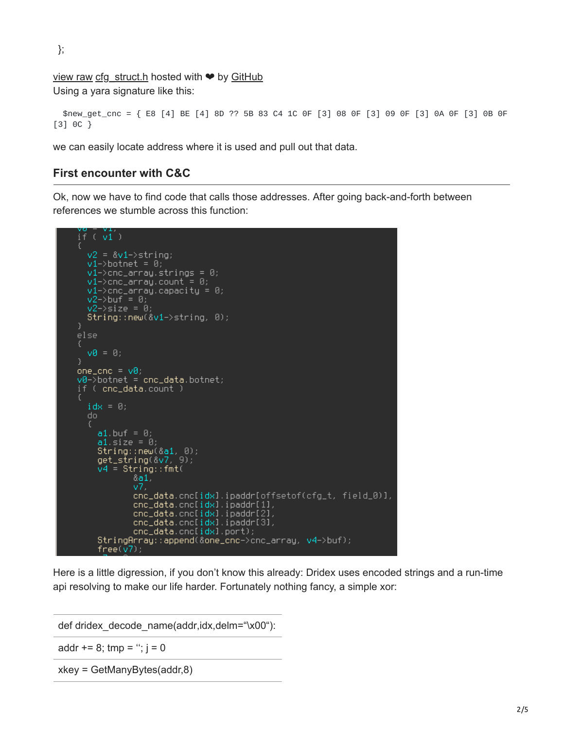};

[view raw](https://gist.github.com/mak/894eaa9a6fc5df0aee88/raw/0cedbd0328782f044c64234ad9268fba17760ac4/cfg_struct.h) [cfg\\_struct.h](https://gist.github.com/mak/894eaa9a6fc5df0aee88#file-cfg_struct-h) hosted with  $\bullet$  by [GitHub](https://github.com/)

Using a yara signature like this:

```
$new_get_cnc = { E8 [4] BE [4] 8D ?? 5B 83 C4 1C 0F [3] 08 0F [3] 09 0F [3] 0A 0F [3] 0B 0F
[3] 0C }
```
we can easily locate address where it is used and pull out that data.

#### **First encounter with C&C**

Ok, now we have to find code that calls those addresses. After going back-and-forth between references we stumble across this function:

```
if (vi)v2 = 8v1 \rightarrowstring;
  v1->botnet = 0;
  v1->cnc_array.strings = 0;
  v1->cnc_array.count = 0;
  v1->cnc_array.capacity = 0;
  v2 -buf = 0;
  v2 \rightarrowsize = 0;
  String::new(<1->string, 0);else
  v0 = 0:
one\_enc = v0;v0 \rightarrow botnet = cnc_data.botnet;
if ( cnc_data.count )
  idx = 0;do.
     a1 buf = 0;
     al.size = 0;<br>al.size = 0;<br>String::new(&al, 0);<br>get_string(&v7, 9);<br>v4 = String::fmt(
               6a1,v7.
               ...<br>cnc_data.cnc[idx].ipaddr[offsetof(cfg_t, field_0)],<br>cnc_data.cnc[idx].ipaddr[2],<br>cnc_data.cnc[idx].ipaddr[2],
               cnc_data.cnc[idx].ipaddr[3],
               cnc_data.cnc[idx].port);
     StringArray::append(&one_cnc->cnc_array, v4->buf);
     free(v7);
```
Here is a little digression, if you don't know this already: Dridex uses encoded strings and a run-time api resolving to make our life harder. Fortunately nothing fancy, a simple xor:

def dridex\_decode\_name(addr,idx,delm="\x00"):

addr  $+= 8$ ; tmp = ";  $j = 0$ 

xkey = GetManyBytes(addr,8)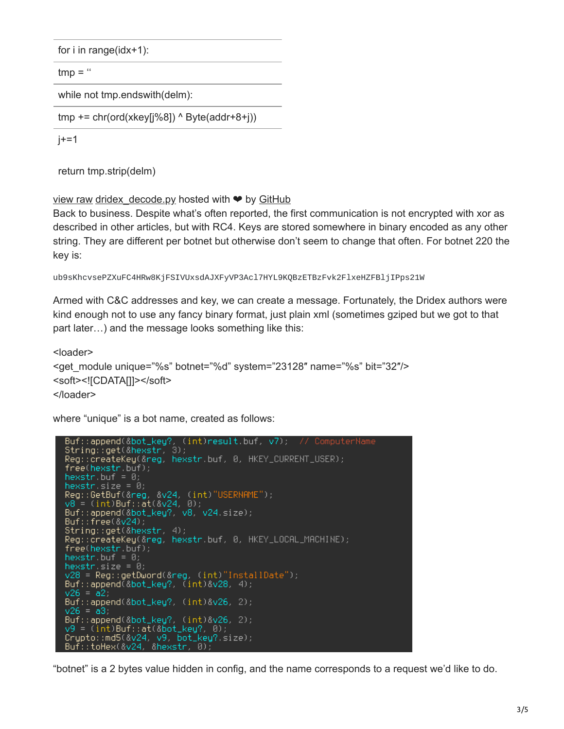for i in range(idx+1):

 $tmp = "$ 

while not tmp.endswith(delm):

```
tmp += chr(ord(xkey[i%8]) \land Byte(addr+8+i))
```
 $j+=1$ 

return tmp.strip(delm)

[view raw](https://gist.github.com/mak/dccb5f579a3d1e0b0180/raw/8d157a3a8bf0c1e49423631454837e57a562cfa9/dridex_decode.py) dridex decode.py hosted with  $\bullet$  by [GitHub](https://github.com/)

Back to business. Despite what's often reported, the first communication is not encrypted with xor as described in other articles, but with RC4. Keys are stored somewhere in binary encoded as any other string. They are different per botnet but otherwise don't seem to change that often. For botnet 220 the key is:

```
ub9sKhcvsePZXuFC4HRw8KjFSIVUxsdAJXFyVP3Acl7HYL9KQBzETBzFvk2FlxeHZFBljIPps21W
```
Armed with C&C addresses and key, we can create a message. Fortunately, the Dridex authors were kind enough not to use any fancy binary format, just plain xml (sometimes gziped but we got to that part later…) and the message looks something like this:

```
<loader>
<get_module unique="%s" botnet="%d" system="23128" name="%s" bit="32"/>
<soft><![CDATA[]]></soft>
</loader>
```
where "unique" is a bot name, created as follows:

```
Reg::createKey(&reg, hexstr.buf, 0, HKEY_CURRENT_USER);
free(hexstr.buf);
hexstr.buf = 0;
hexstr.size = 0;<br>Reg::GetBuf(&reg, &v24, (int)"USERNAME");
v8 = (int) But :: at(<math>\& v24</math>, 0);Buf::append(&bot_key?, v8, v24.size);
Buf:: free(8v24);
String::get(&hexstr, 4);<br>Reg::createKey(&reg, hexstr.buf, 0, HKEY_LOCAL_MACHINE);<br>free(hexstr.buf);
hexstr.buf = \theta;
hexstrisize = 0;
v28 = Reg::getDword(&reg, (int)"InstallDate");
Buf::append\bar{(\&}bot\_key?, \bar{(\;int)}\&\lor 28, 4);v26 = a2Buf::append(&bot_key?, (int)&v26, 2);
v26 = a3.
Buf::append(&bot_key?, (int)&v26, 2);
y9 = (int)Buf: at (&bot_key?, 0);
Crypto::md5(&v24, v9, bot_key?.size);<br>Buf::toHex(&v24, &hexstr, 0);
```
"botnet" is a 2 bytes value hidden in config, and the name corresponds to a request we'd like to do.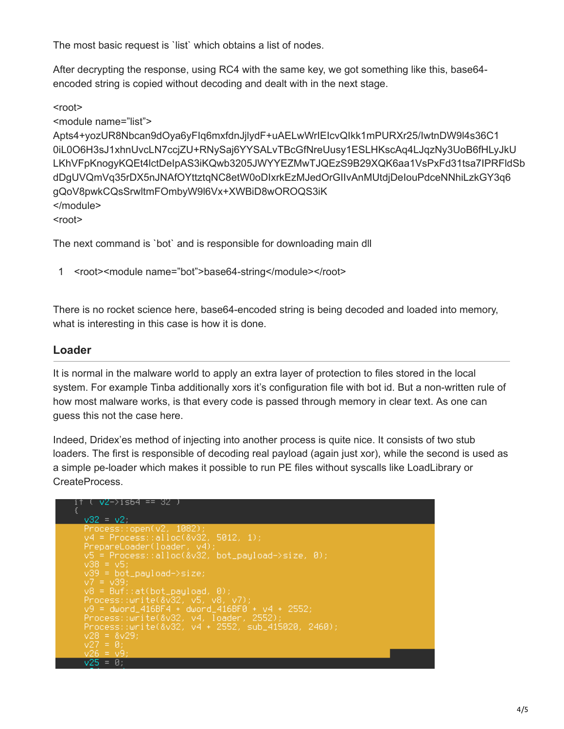The most basic request is `list` which obtains a list of nodes.

After decrypting the response, using RC4 with the same key, we got something like this, base64 encoded string is copied without decoding and dealt with in the next stage.

 $<sub>root</sub>$ </sub>

<module name="list"> Apts4+yozUR8Nbcan9dOya6yFIq6mxfdnJjlydF+uAELwWrIEIcvQIkk1mPURXr25/IwtnDW9l4s36C1 0iL0O6H3sJ1xhnUvcLN7ccjZU+RNySaj6YYSALvTBcGfNreUusy1ESLHKscAq4LJqzNy3UoB6fHLyJkU LKhVFpKnogyKQEt4lctDeIpAS3iKQwb3205JWYYEZMwTJQEzS9B29XQK6aa1VsPxFd31tsa7IPRFldSb dDgUVQmVq35rDX5nJNAfOYttztqNC8etW0oDIxrkEzMJedOrGIIvAnMUtdjDeIouPdceNNhiLzkGY3q6 gQoV8pwkCQsSrwltmFOmbyW9l6Vx+XWBiD8wOROQS3iK </module>  $<sub>root</sub>$ </sub>

The next command is `bot` and is responsible for downloading main dll

1 <root><module name="bot">base64-string</module></root>

There is no rocket science here, base64-encoded string is being decoded and loaded into memory, what is interesting in this case is how it is done.

### **Loader**

It is normal in the malware world to apply an extra layer of protection to files stored in the local system. For example Tinba additionally xors it's configuration file with bot id. But a non-written rule of how most malware works, is that every code is passed through memory in clear text. As one can guess this not the case here.

Indeed, Dridex'es method of injecting into another process is quite nice. It consists of two stub loaders. The first is responsible of decoding real payload (again just xor), while the second is used as a simple pe-loader which makes it possible to run PE files without syscalls like LoadLibrary or CreateProcess.

```
-V2->is64 == 32
v32 = v2Process::open(v2, 1082);<br>y4 = Process::alloc(&v32, 5012, 1);
PrepareLoader(loader, v4);<br>V5 = Process::alloc(&v32, bot_payload—>size, 0);
\sqrt{38} = \sqrt{5};<br>\sqrt{39} = \text{bot\_payload} > \text{size};<br>\sqrt{7} = \sqrt{39};
v8 = Buf::at(bot_payload, 0);
vo – Barrietove_pagroda, 87,<br>Process::write(&v32, v5, v8, v7);<br>v9 = dword_416BF4 + dword_416BF0 + v4 + 2552;<br>Process::write(&v32, v4, loader, 2552);<br>Process::write(&v32, v4 + 2552, sub_415020, 2460);<br>v28 = &v29;
         = 0
```